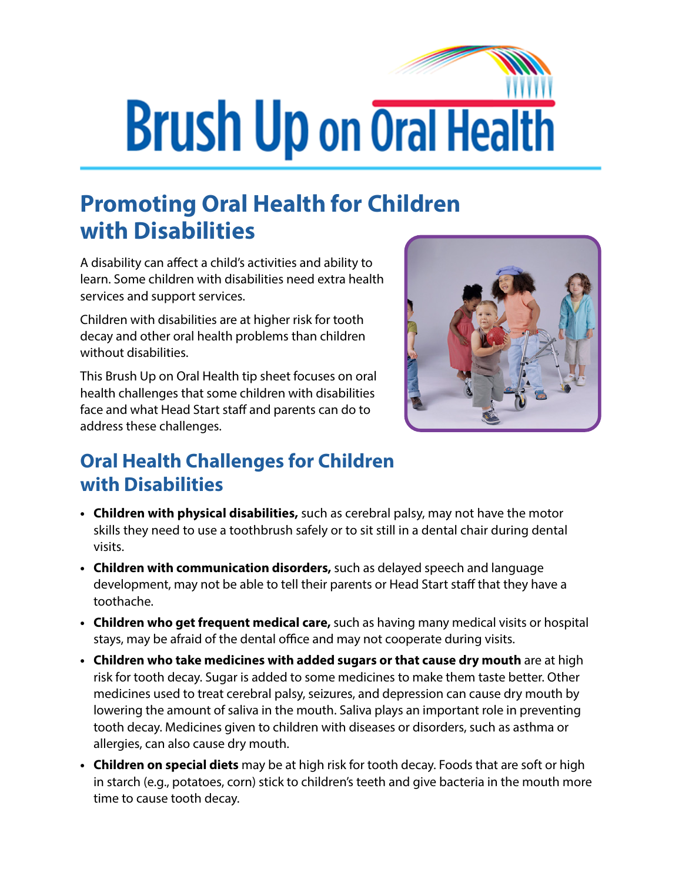## **Brush Up on Oral Health**

## **Promoting Oral Health for Children with Disabilities**

A disability can affect a child's activities and ability to learn. Some children with disabilities need extra health services and support services.

Children with disabilities are at higher risk for tooth decay and other oral health problems than children without disabilities.

This Brush Up on Oral Health tip sheet focuses on oral health challenges that some children with disabilities face and what Head Start staff and parents can do to address these challenges.



## **Oral Health Challenges for Children with Disabilities**

- **• Children with physical disabilities,** such as cerebral palsy, may not have the motor skills they need to use a toothbrush safely or to sit still in a dental chair during dental visits.
- **• Children with communication disorders,** such as delayed speech and language development, may not be able to tell their parents or Head Start staff that they have a toothache.
- **• Children who get frequent medical care,** such as having many medical visits or hospital stays, may be afraid of the dental office and may not cooperate during visits.
- **• Children who take medicines with added sugars or that cause dry mouth** are at high risk for tooth decay. Sugar is added to some medicines to make them taste better. Other medicines used to treat cerebral palsy, seizures, and depression can cause dry mouth by lowering the amount of saliva in the mouth. Saliva plays an important role in preventing tooth decay. Medicines given to children with diseases or disorders, such as asthma or allergies, can also cause dry mouth.
- **• Children on special diets** may be at high risk for tooth decay. Foods that are soft or high in starch (e.g., potatoes, corn) stick to children's teeth and give bacteria in the mouth more time to cause tooth decay.